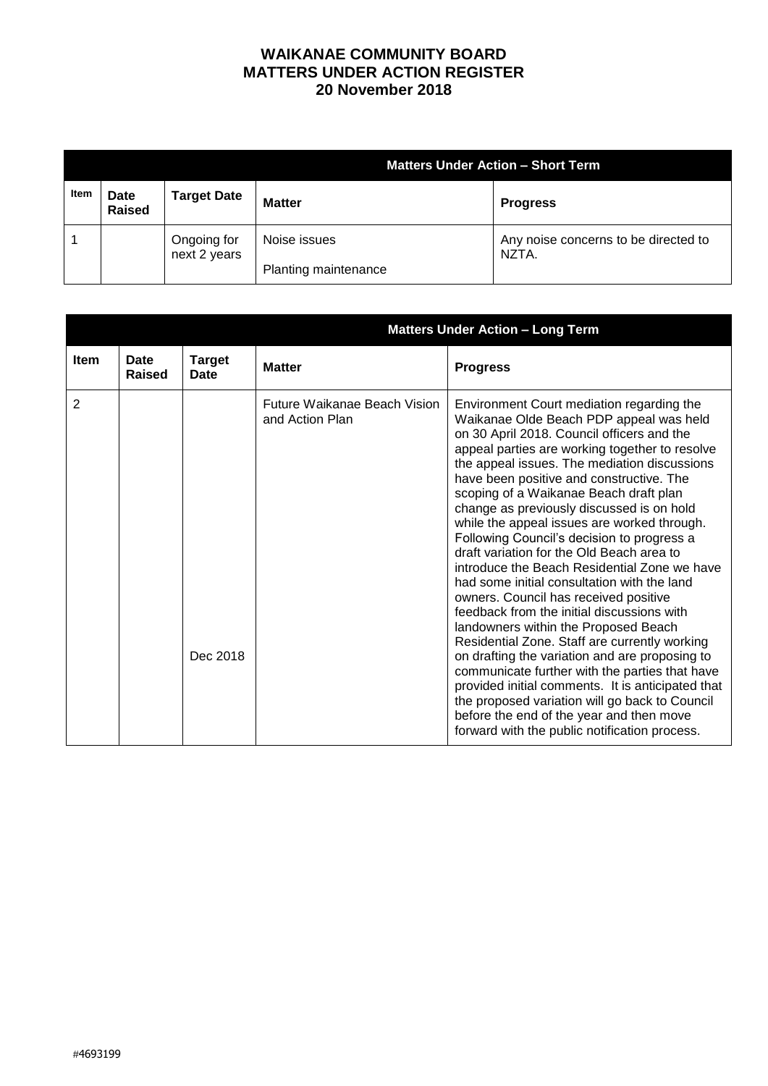## **WAIKANAE COMMUNITY BOARD MATTERS UNDER ACTION REGISTER 20 November 2018**

|      |                              |                             | <b>Matters Under Action - Short Term</b> |                                               |  |
|------|------------------------------|-----------------------------|------------------------------------------|-----------------------------------------------|--|
| Item | <b>Date</b><br><b>Raised</b> | <b>Target Date</b>          | <b>Matter</b>                            | <b>Progress</b>                               |  |
|      |                              | Ongoing for<br>next 2 years | Noise issues<br>Planting maintenance     | Any noise concerns to be directed to<br>NZTA. |  |

|             |                |                       | <b>Matters Under Action - Long Term</b>         |                                                                                                                                                                                                                                                                                                                                                                                                                                                                                                                                                                                                                                                                                                                                                                                                                                                                                                                                                                                                                                                                                                          |
|-------------|----------------|-----------------------|-------------------------------------------------|----------------------------------------------------------------------------------------------------------------------------------------------------------------------------------------------------------------------------------------------------------------------------------------------------------------------------------------------------------------------------------------------------------------------------------------------------------------------------------------------------------------------------------------------------------------------------------------------------------------------------------------------------------------------------------------------------------------------------------------------------------------------------------------------------------------------------------------------------------------------------------------------------------------------------------------------------------------------------------------------------------------------------------------------------------------------------------------------------------|
| <b>Item</b> | Date<br>Raised | <b>Target</b><br>Date | <b>Matter</b>                                   | <b>Progress</b>                                                                                                                                                                                                                                                                                                                                                                                                                                                                                                                                                                                                                                                                                                                                                                                                                                                                                                                                                                                                                                                                                          |
| 2           |                | Dec 2018              | Future Waikanae Beach Vision<br>and Action Plan | Environment Court mediation regarding the<br>Waikanae Olde Beach PDP appeal was held<br>on 30 April 2018. Council officers and the<br>appeal parties are working together to resolve<br>the appeal issues. The mediation discussions<br>have been positive and constructive. The<br>scoping of a Waikanae Beach draft plan<br>change as previously discussed is on hold<br>while the appeal issues are worked through.<br>Following Council's decision to progress a<br>draft variation for the Old Beach area to<br>introduce the Beach Residential Zone we have<br>had some initial consultation with the land<br>owners. Council has received positive<br>feedback from the initial discussions with<br>landowners within the Proposed Beach<br>Residential Zone. Staff are currently working<br>on drafting the variation and are proposing to<br>communicate further with the parties that have<br>provided initial comments. It is anticipated that<br>the proposed variation will go back to Council<br>before the end of the year and then move<br>forward with the public notification process. |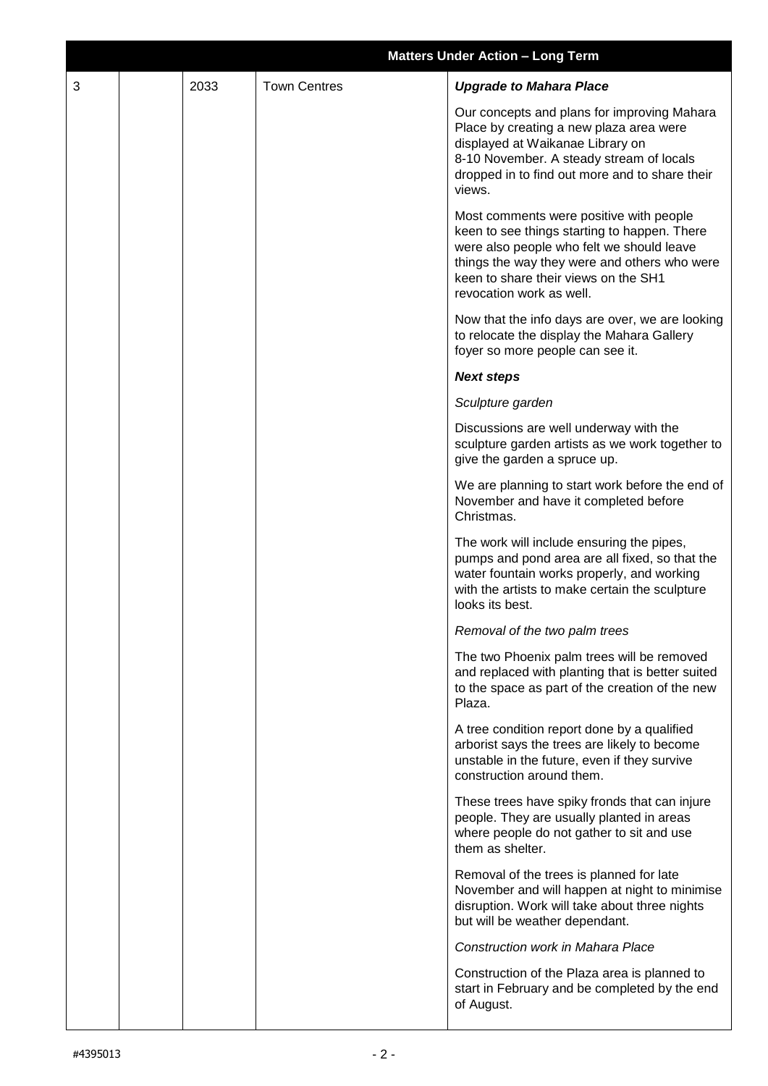|   |      |                     | <b>Matters Under Action - Long Term</b>                                                                                                                                                                                                                  |
|---|------|---------------------|----------------------------------------------------------------------------------------------------------------------------------------------------------------------------------------------------------------------------------------------------------|
| 3 | 2033 | <b>Town Centres</b> | <b>Upgrade to Mahara Place</b>                                                                                                                                                                                                                           |
|   |      |                     | Our concepts and plans for improving Mahara<br>Place by creating a new plaza area were<br>displayed at Waikanae Library on<br>8-10 November. A steady stream of locals<br>dropped in to find out more and to share their<br>views.                       |
|   |      |                     | Most comments were positive with people<br>keen to see things starting to happen. There<br>were also people who felt we should leave<br>things the way they were and others who were<br>keen to share their views on the SH1<br>revocation work as well. |
|   |      |                     | Now that the info days are over, we are looking<br>to relocate the display the Mahara Gallery<br>foyer so more people can see it.                                                                                                                        |
|   |      |                     | <b>Next steps</b>                                                                                                                                                                                                                                        |
|   |      |                     | Sculpture garden                                                                                                                                                                                                                                         |
|   |      |                     | Discussions are well underway with the<br>sculpture garden artists as we work together to<br>give the garden a spruce up.                                                                                                                                |
|   |      |                     | We are planning to start work before the end of<br>November and have it completed before<br>Christmas.                                                                                                                                                   |
|   |      |                     | The work will include ensuring the pipes,<br>pumps and pond area are all fixed, so that the<br>water fountain works properly, and working<br>with the artists to make certain the sculpture<br>looks its best.                                           |
|   |      |                     | Removal of the two palm trees                                                                                                                                                                                                                            |
|   |      |                     | The two Phoenix palm trees will be removed<br>and replaced with planting that is better suited<br>to the space as part of the creation of the new<br>Plaza.                                                                                              |
|   |      |                     | A tree condition report done by a qualified<br>arborist says the trees are likely to become<br>unstable in the future, even if they survive<br>construction around them.                                                                                 |
|   |      |                     | These trees have spiky fronds that can injure<br>people. They are usually planted in areas<br>where people do not gather to sit and use<br>them as shelter.                                                                                              |
|   |      |                     | Removal of the trees is planned for late<br>November and will happen at night to minimise<br>disruption. Work will take about three nights<br>but will be weather dependant.                                                                             |
|   |      |                     | <b>Construction work in Mahara Place</b>                                                                                                                                                                                                                 |
|   |      |                     | Construction of the Plaza area is planned to<br>start in February and be completed by the end<br>of August.                                                                                                                                              |